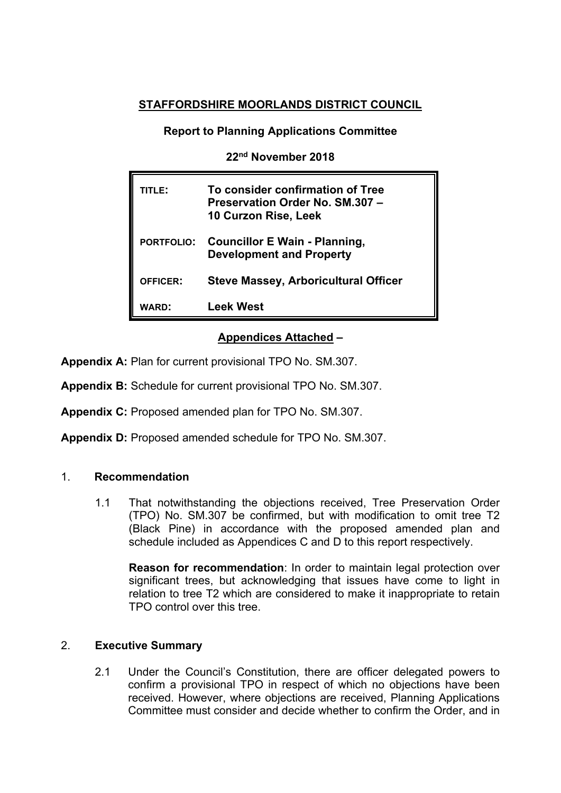# **STAFFORDSHIRE MOORLANDS DISTRICT COUNCIL**

**Report to Planning Applications Committee**

**22nd November 2018**

| <b>TITLE:</b>     | To consider confirmation of Tree<br>Preservation Order No. SM.307 -<br>10 Curzon Rise, Leek |
|-------------------|---------------------------------------------------------------------------------------------|
| <b>PORTFOLIO:</b> | <b>Councillor E Wain - Planning,</b><br><b>Development and Property</b>                     |
| <b>OFFICER:</b>   | <b>Steve Massey, Arboricultural Officer</b>                                                 |
| <b>WARD:</b>      | <b>Leek West</b>                                                                            |

## **Appendices Attached –**

**Appendix A:** Plan for current provisional TPO No. SM.307.

**Appendix B:** Schedule for current provisional TPO No. SM.307.

**Appendix C:** Proposed amended plan for TPO No. SM.307.

**Appendix D:** Proposed amended schedule for TPO No. SM.307.

### 1. **Recommendation**

1.1 That notwithstanding the objections received, Tree Preservation Order (TPO) No. SM.307 be confirmed, but with modification to omit tree T2 (Black Pine) in accordance with the proposed amended plan and schedule included as Appendices C and D to this report respectively.

**Reason for recommendation**: In order to maintain legal protection over significant trees, but acknowledging that issues have come to light in relation to tree T2 which are considered to make it inappropriate to retain TPO control over this tree.

## 2. **Executive Summary**

2.1 Under the Council's Constitution, there are officer delegated powers to confirm a provisional TPO in respect of which no objections have been received. However, where objections are received, Planning Applications Committee must consider and decide whether to confirm the Order, and in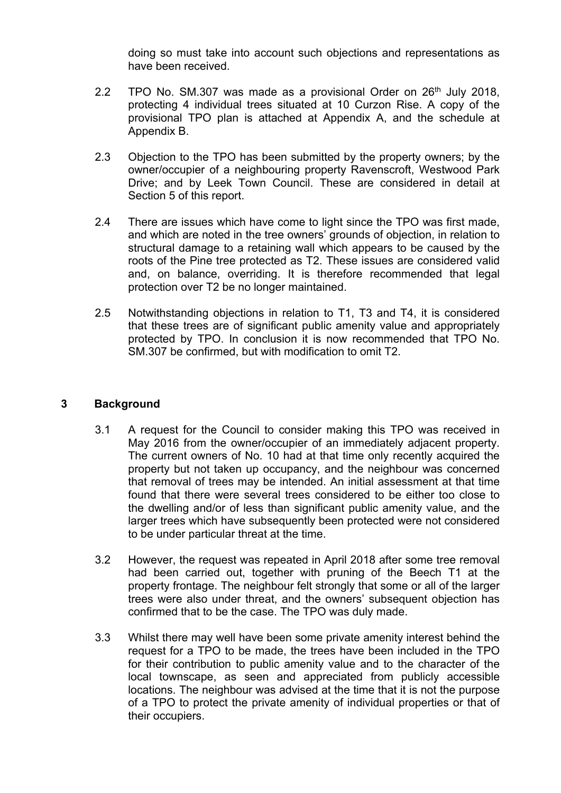doing so must take into account such objections and representations as have been received.

- 2.2 TPO No. SM.307 was made as a provisional Order on 26<sup>th</sup> July 2018, protecting 4 individual trees situated at 10 Curzon Rise. A copy of the provisional TPO plan is attached at Appendix A, and the schedule at Appendix B.
- 2.3 Objection to the TPO has been submitted by the property owners; by the owner/occupier of a neighbouring property Ravenscroft, Westwood Park Drive; and by Leek Town Council. These are considered in detail at Section 5 of this report.
- 2.4 There are issues which have come to light since the TPO was first made. and which are noted in the tree owners' grounds of objection, in relation to structural damage to a retaining wall which appears to be caused by the roots of the Pine tree protected as T2. These issues are considered valid and, on balance, overriding. It is therefore recommended that legal protection over T2 be no longer maintained.
- 2.5 Notwithstanding objections in relation to T1, T3 and T4, it is considered that these trees are of significant public amenity value and appropriately protected by TPO. In conclusion it is now recommended that TPO No. SM.307 be confirmed, but with modification to omit T2.

### **3 Background**

- 3.1 A request for the Council to consider making this TPO was received in May 2016 from the owner/occupier of an immediately adjacent property. The current owners of No. 10 had at that time only recently acquired the property but not taken up occupancy, and the neighbour was concerned that removal of trees may be intended. An initial assessment at that time found that there were several trees considered to be either too close to the dwelling and/or of less than significant public amenity value, and the larger trees which have subsequently been protected were not considered to be under particular threat at the time.
- 3.2 However, the request was repeated in April 2018 after some tree removal had been carried out, together with pruning of the Beech T1 at the property frontage. The neighbour felt strongly that some or all of the larger trees were also under threat, and the owners' subsequent objection has confirmed that to be the case. The TPO was duly made.
- 3.3 Whilst there may well have been some private amenity interest behind the request for a TPO to be made, the trees have been included in the TPO for their contribution to public amenity value and to the character of the local townscape, as seen and appreciated from publicly accessible locations. The neighbour was advised at the time that it is not the purpose of a TPO to protect the private amenity of individual properties or that of their occupiers.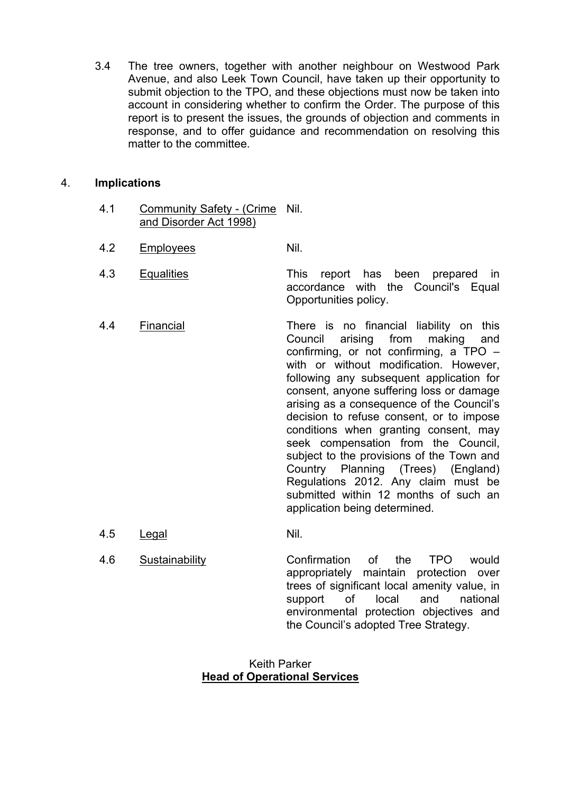3.4 The tree owners, together with another neighbour on Westwood Park Avenue, and also Leek Town Council, have taken up their opportunity to submit objection to the TPO, and these objections must now be taken into account in considering whether to confirm the Order. The purpose of this report is to present the issues, the grounds of objection and comments in response, and to offer guidance and recommendation on resolving this matter to the committee.

#### 4. **Implications**

- 4.1 Community Safety (Crime Nil. and Disorder Act 1998)
- 4.2 Employees Nil.
- 4.3 Equalities This report has been prepared in accordance with the Council's Equal Opportunities policy.
- 4.4 Financial There is no financial liability on this Council arising from making and confirming, or not confirming, a TPO – with or without modification. However, following any subsequent application for consent, anyone suffering loss or damage arising as a consequence of the Council's decision to refuse consent, or to impose conditions when granting consent, may seek compensation from the Council, subject to the provisions of the Town and Country Planning (Trees) (England) Regulations 2012. Any claim must be submitted within 12 months of such an application being determined.
- 4.5 Legal Nil.
- 4.6 Sustainability Confirmation of the TPO would appropriately maintain protection over trees of significant local amenity value, in support of local and national environmental protection objectives and the Council's adopted Tree Strategy.

#### Keith Parker **Head of Operational Services**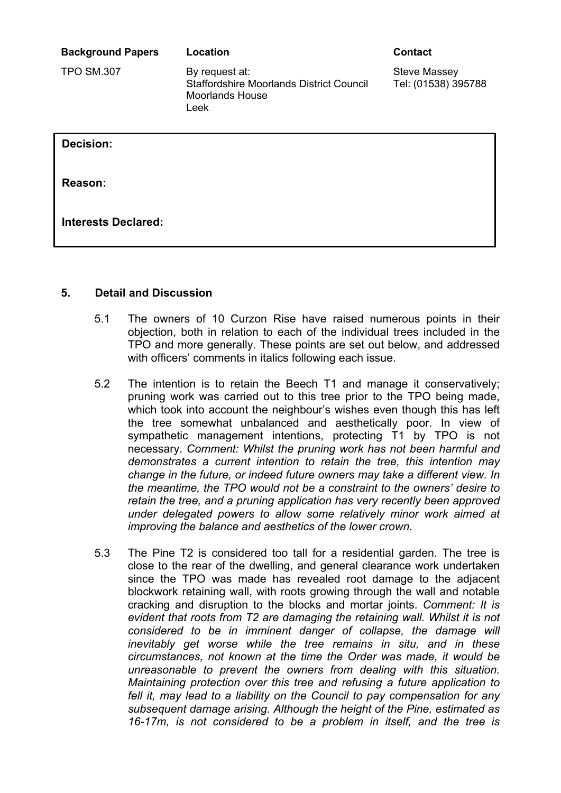**Background Papers Location Contact**

TPO SM.307 By request at: Staffordshire Moorlands District Council Moorlands House Leek

Steve Massey Tel: (01538) 395788

**Decision:**

**Reason:**

**Interests Declared:**

### **5. Detail and Discussion**

- 5.1 The owners of 10 Curzon Rise have raised numerous points in their objection, both in relation to each of the individual trees included in the TPO and more generally. These points are set out below, and addressed with officers' comments in italics following each issue.
- 5.2 The intention is to retain the Beech T1 and manage it conservatively; pruning work was carried out to this tree prior to the TPO being made, which took into account the neighbour's wishes even though this has left the tree somewhat unbalanced and aesthetically poor. In view of sympathetic management intentions, protecting T1 by TPO is not necessary. *Comment: Whilst the pruning work has not been harmful and demonstrates a current intention to retain the tree, this intention may change in the future, or indeed future owners may take a different view. In the meantime, the TPO would not be a constraint to the owners' desire to retain the tree, and a pruning application has very recently been approved under delegated powers to allow some relatively minor work aimed at improving the balance and aesthetics of the lower crown.*
- 5.3 The Pine T2 is considered too tall for a residential garden. The tree is close to the rear of the dwelling, and general clearance work undertaken since the TPO was made has revealed root damage to the adjacent blockwork retaining wall, with roots growing through the wall and notable cracking and disruption to the blocks and mortar joints. *Comment: It is evident that roots from T2 are damaging the retaining wall. Whilst it is not considered to be in imminent danger of collapse, the damage will inevitably get worse while the tree remains in situ, and in these circumstances, not known at the time the Order was made, it would be unreasonable to prevent the owners from dealing with this situation. Maintaining protection over this tree and refusing a future application to fell it, may lead to a liability on the Council to pay compensation for any subsequent damage arising. Although the height of the Pine, estimated as 16-17m, is not considered to be a problem in itself, and the tree is*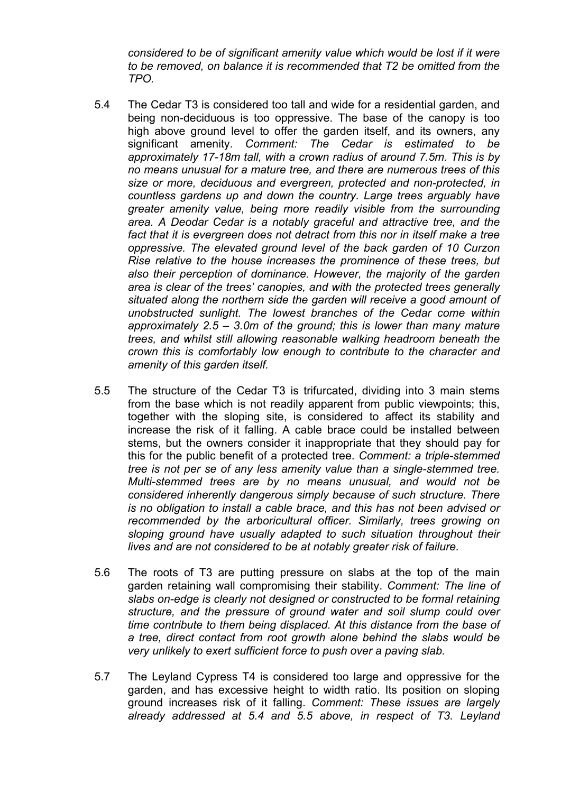*considered to be of significant amenity value which would be lost if it were to be removed, on balance it is recommended that T2 be omitted from the TPO.*

- 5.4 The Cedar T3 is considered too tall and wide for a residential garden, and being non-deciduous is too oppressive. The base of the canopy is too high above ground level to offer the garden itself, and its owners, any significant amenity. *Comment: The Cedar is estimated to be approximately 17-18m tall, with a crown radius of around 7.5m. This is by no means unusual for a mature tree, and there are numerous trees of this size or more, deciduous and evergreen, protected and non-protected, in countless gardens up and down the country. Large trees arguably have greater amenity value, being more readily visible from the surrounding area. A Deodar Cedar is a notably graceful and attractive tree, and the fact that it is evergreen does not detract from this nor in itself make a tree oppressive. The elevated ground level of the back garden of 10 Curzon Rise relative to the house increases the prominence of these trees, but also their perception of dominance. However, the majority of the garden area is clear of the trees' canopies, and with the protected trees generally situated along the northern side the garden will receive a good amount of unobstructed sunlight. The lowest branches of the Cedar come within approximately 2.5 – 3.0m of the ground; this is lower than many mature trees, and whilst still allowing reasonable walking headroom beneath the crown this is comfortably low enough to contribute to the character and amenity of this garden itself.*
- 5.5 The structure of the Cedar T3 is trifurcated, dividing into 3 main stems from the base which is not readily apparent from public viewpoints; this, together with the sloping site, is considered to affect its stability and increase the risk of it falling. A cable brace could be installed between stems, but the owners consider it inappropriate that they should pay for this for the public benefit of a protected tree. *Comment: a triple-stemmed tree is not per se of any less amenity value than a single-stemmed tree. Multi-stemmed trees are by no means unusual, and would not be considered inherently dangerous simply because of such structure. There is no obligation to install a cable brace, and this has not been advised or recommended by the arboricultural officer. Similarly, trees growing on sloping ground have usually adapted to such situation throughout their lives and are not considered to be at notably greater risk of failure.*
- 5.6 The roots of T3 are putting pressure on slabs at the top of the main garden retaining wall compromising their stability. *Comment: The line of slabs on-edge is clearly not designed or constructed to be formal retaining structure, and the pressure of ground water and soil slump could over time contribute to them being displaced. At this distance from the base of a tree, direct contact from root growth alone behind the slabs would be very unlikely to exert sufficient force to push over a paving slab.*
- 5.7 The Leyland Cypress T4 is considered too large and oppressive for the garden, and has excessive height to width ratio. Its position on sloping ground increases risk of it falling. *Comment: These issues are largely already addressed at 5.4 and 5.5 above, in respect of T3. Leyland*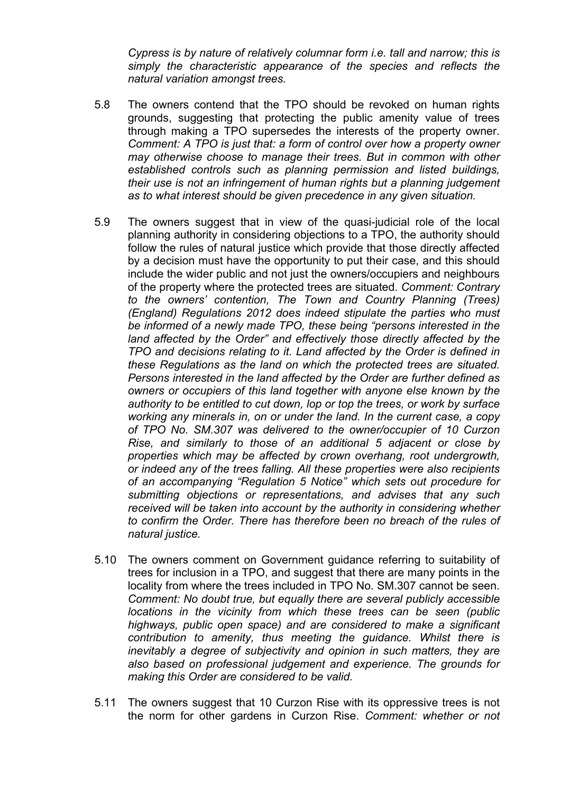*Cypress is by nature of relatively columnar form i.e. tall and narrow; this is simply the characteristic appearance of the species and reflects the natural variation amongst trees.*

- 5.8 The owners contend that the TPO should be revoked on human rights grounds, suggesting that protecting the public amenity value of trees through making a TPO supersedes the interests of the property owner. *Comment: A TPO is just that: a form of control over how a property owner may otherwise choose to manage their trees. But in common with other established controls such as planning permission and listed buildings, their use is not an infringement of human rights but a planning judgement as to what interest should be given precedence in any given situation.*
- 5.9 The owners suggest that in view of the quasi-judicial role of the local planning authority in considering objections to a TPO, the authority should follow the rules of natural justice which provide that those directly affected by a decision must have the opportunity to put their case, and this should include the wider public and not just the owners/occupiers and neighbours of the property where the protected trees are situated. *Comment: Contrary to the owners' contention, The Town and Country Planning (Trees) (England) Regulations 2012 does indeed stipulate the parties who must be informed of a newly made TPO, these being "persons interested in the land affected by the Order" and effectively those directly affected by the TPO and decisions relating to it. Land affected by the Order is defined in these Regulations as the land on which the protected trees are situated. Persons interested in the land affected by the Order are further defined as owners or occupiers of this land together with anyone else known by the authority to be entitled to cut down, lop or top the trees, or work by surface working any minerals in, on or under the land. In the current case, a copy of TPO No. SM.307 was delivered to the owner/occupier of 10 Curzon Rise, and similarly to those of an additional 5 adjacent or close by properties which may be affected by crown overhang, root undergrowth, or indeed any of the trees falling. All these properties were also recipients of an accompanying "Regulation 5 Notice" which sets out procedure for submitting objections or representations, and advises that any such received will be taken into account by the authority in considering whether to confirm the Order. There has therefore been no breach of the rules of natural justice.*
- 5.10 The owners comment on Government guidance referring to suitability of trees for inclusion in a TPO, and suggest that there are many points in the locality from where the trees included in TPO No. SM.307 cannot be seen. *Comment: No doubt true, but equally there are several publicly accessible locations in the vicinity from which these trees can be seen (public highways, public open space) and are considered to make a significant contribution to amenity, thus meeting the guidance. Whilst there is inevitably a degree of subjectivity and opinion in such matters, they are also based on professional judgement and experience. The grounds for making this Order are considered to be valid.*
- 5.11 The owners suggest that 10 Curzon Rise with its oppressive trees is not the norm for other gardens in Curzon Rise. *Comment: whether or not*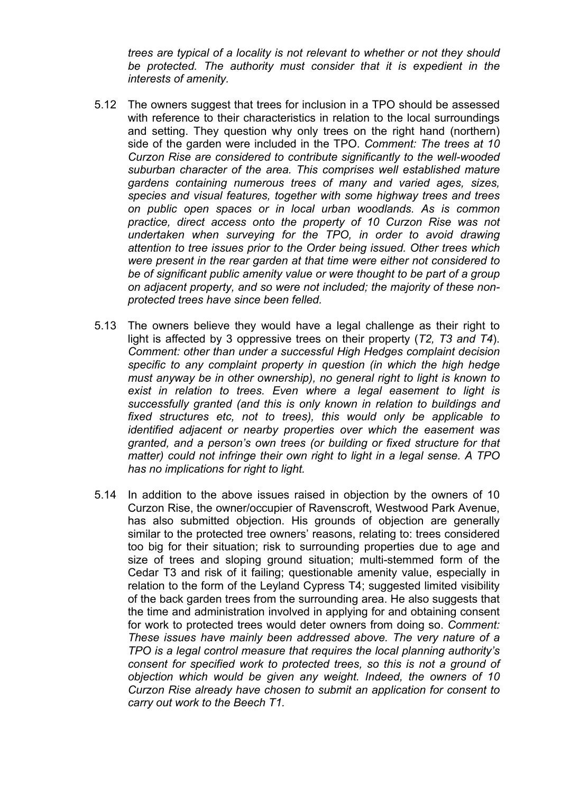*trees are typical of a locality is not relevant to whether or not they should be protected. The authority must consider that it is expedient in the interests of amenity.*

- 5.12 The owners suggest that trees for inclusion in a TPO should be assessed with reference to their characteristics in relation to the local surroundings and setting. They question why only trees on the right hand (northern) side of the garden were included in the TPO. *Comment: The trees at 10 Curzon Rise are considered to contribute significantly to the well-wooded suburban character of the area. This comprises well established mature gardens containing numerous trees of many and varied ages, sizes, species and visual features, together with some highway trees and trees on public open spaces or in local urban woodlands. As is common practice, direct access onto the property of 10 Curzon Rise was not undertaken when surveying for the TPO, in order to avoid drawing attention to tree issues prior to the Order being issued. Other trees which were present in the rear garden at that time were either not considered to be of significant public amenity value or were thought to be part of a group on adjacent property, and so were not included; the majority of these nonprotected trees have since been felled.*
- 5.13 The owners believe they would have a legal challenge as their right to light is affected by 3 oppressive trees on their property (*T2, T3 and T4*). *Comment: other than under a successful High Hedges complaint decision specific to any complaint property in question (in which the high hedge must anyway be in other ownership), no general right to light is known to exist in relation to trees. Even where a legal easement to light is successfully granted (and this is only known in relation to buildings and fixed structures etc, not to trees), this would only be applicable to identified adjacent or nearby properties over which the easement was granted, and a person's own trees (or building or fixed structure for that matter) could not infringe their own right to light in a legal sense. A TPO has no implications for right to light.*
- 5.14 In addition to the above issues raised in objection by the owners of 10 Curzon Rise, the owner/occupier of Ravenscroft, Westwood Park Avenue, has also submitted objection. His grounds of objection are generally similar to the protected tree owners' reasons, relating to: trees considered too big for their situation; risk to surrounding properties due to age and size of trees and sloping ground situation; multi-stemmed form of the Cedar T3 and risk of it failing; questionable amenity value, especially in relation to the form of the Leyland Cypress T4; suggested limited visibility of the back garden trees from the surrounding area. He also suggests that the time and administration involved in applying for and obtaining consent for work to protected trees would deter owners from doing so. *Comment: These issues have mainly been addressed above. The very nature of a TPO is a legal control measure that requires the local planning authority's consent for specified work to protected trees, so this is not a ground of objection which would be given any weight. Indeed, the owners of 10 Curzon Rise already have chosen to submit an application for consent to carry out work to the Beech T1.*